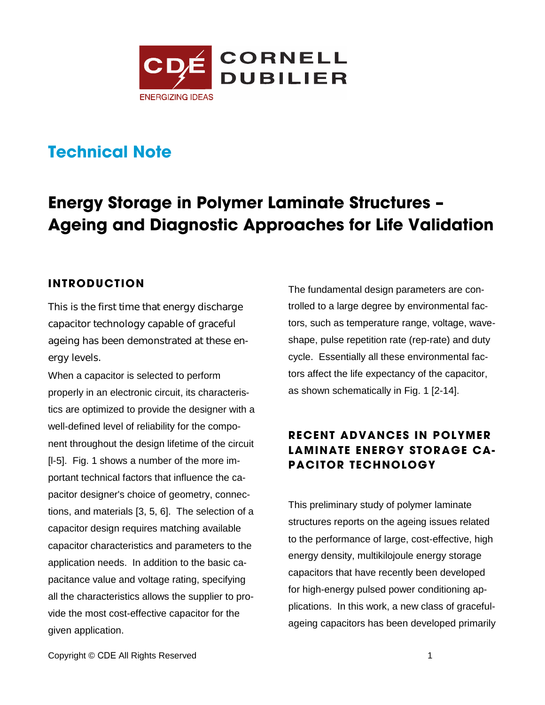

# **Technical Note**

# **Energy Storage in Polymer Laminate Structures – Ageing and Diagnostic Approaches for Life Validation**

# **INTRODUCTION**

This is the first time that energy discharge capacitor technology capable of graceful ageing has been demonstrated at these energy levels.

When a capacitor is selected to perform properly in an electronic circuit, its characteristics are optimized to provide the designer with a well-defined level of reliability for the component throughout the design lifetime of the circuit [l-5]. Fig. 1 shows a number of the more important technical factors that influence the capacitor designer's choice of geometry, connections, and materials [3, 5, 6]. The selection of a capacitor design requires matching available capacitor characteristics and parameters to the application needs. In addition to the basic capacitance value and voltage rating, specifying all the characteristics allows the supplier to provide the most cost-effective capacitor for the given application.

The fundamental design parameters are controlled to a large degree by environmental factors, such as temperature range, voltage, waveshape, pulse repetition rate (rep-rate) and duty cycle. Essentially all these environmental factors affect the life expectancy of the capacitor, as shown schematically in Fig. 1 [2-14].

# **RECENT ADVANCES IN POLYMER LAMINATE ENERGY STORAGE CA-PACITOR TECHNOLOGY**

This preliminary study of polymer laminate structures reports on the ageing issues related to the performance of large, cost-effective, high energy density, multikilojoule energy storage capacitors that have recently been developed for high-energy pulsed power conditioning applications. In this work, a new class of gracefulageing capacitors has been developed primarily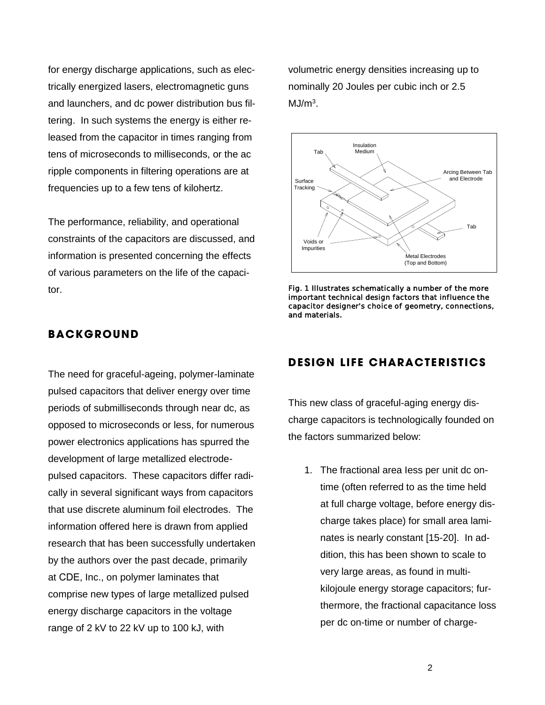for energy discharge applications, such as electrically energized lasers, electromagnetic guns and launchers, and dc power distribution bus filtering. In such systems the energy is either released from the capacitor in times ranging from tens of microseconds to milliseconds, or the ac ripple components in filtering operations are at frequencies up to a few tens of kilohertz.

The performance, reliability, and operational constraints of the capacitors are discussed, and information is presented concerning the effects of various parameters on the life of the capacitor.

### **BACKGROUND**

The need for graceful-ageing, polymer-laminate pulsed capacitors that deliver energy over time periods of submilliseconds through near dc, as opposed to microseconds or less, for numerous power electronics applications has spurred the development of large metallized electrodepulsed capacitors. These capacitors differ radically in several significant ways from capacitors that use discrete aluminum foil electrodes. The information offered here is drawn from applied research that has been successfully undertaken by the authors over the past decade, primarily at CDE, Inc., on polymer laminates that comprise new types of large metallized pulsed energy discharge capacitors in the voltage range of 2 kV to 22 kV up to 100 kJ, with

volumetric energy densities increasing up to nominally 20 Joules per cubic inch or 2.5  $MJ/m<sup>3</sup>$ .





### **DESIGN LIFE CHARACTERISTICS**

This new class of graceful-aging energy discharge capacitors is technologically founded on the factors summarized below:

1. The fractional area Iess per unit dc ontime (often referred to as the time held at full charge voltage, before energy discharge takes place) for small area laminates is nearly constant [15-20]. In addition, this has been shown to scale to very large areas, as found in multikilojoule energy storage capacitors; furthermore, the fractional capacitance loss per dc on-time or number of charge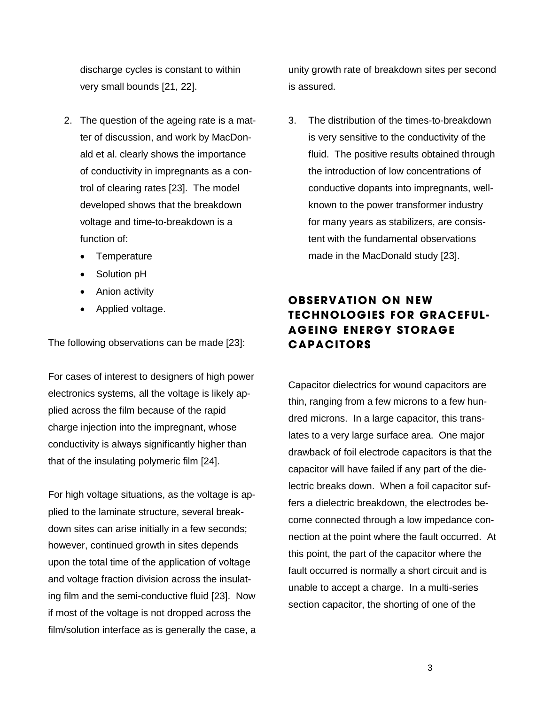discharge cycles is constant to within very small bounds [21, 22].

- 2. The question of the ageing rate is a matter of discussion, and work by MacDonald et al. clearly shows the importance of conductivity in impregnants as a control of clearing rates [23]. The model developed shows that the breakdown voltage and time-to-breakdown is a function of:
	- **Temperature**
	- Solution pH
	- Anion activity
	- Applied voltage.

The following observations can be made [23]:

For cases of interest to designers of high power electronics systems, all the voltage is likely applied across the film because of the rapid charge injection into the impregnant, whose conductivity is always significantly higher than that of the insulating polymeric film [24].

For high voltage situations, as the voltage is applied to the laminate structure, several breakdown sites can arise initially in a few seconds; however, continued growth in sites depends upon the total time of the application of voltage and voltage fraction division across the insulating film and the semi-conductive fluid [23]. Now if most of the voltage is not dropped across the film/solution interface as is generally the case, a unity growth rate of breakdown sites per second is assured.

3. The distribution of the times-to-breakdown is very sensitive to the conductivity of the fluid. The positive results obtained through the introduction of low concentrations of conductive dopants into impregnants, wellknown to the power transformer industry for many years as stabilizers, are consistent with the fundamental observations made in the MacDonald study [23].

# **OBSERVATION ON NEW TECHNOLOGIES FOR GRACEFUL-AGEING ENERGY STORAGE CAPACITORS**

Capacitor dielectrics for wound capacitors are thin, ranging from a few microns to a few hundred microns. In a large capacitor, this translates to a very large surface area. One major drawback of foil electrode capacitors is that the capacitor will have failed if any part of the dielectric breaks down. When a foil capacitor suffers a dielectric breakdown, the electrodes become connected through a low impedance connection at the point where the fault occurred. At this point, the part of the capacitor where the fault occurred is normally a short circuit and is unable to accept a charge. In a multi-series section capacitor, the shorting of one of the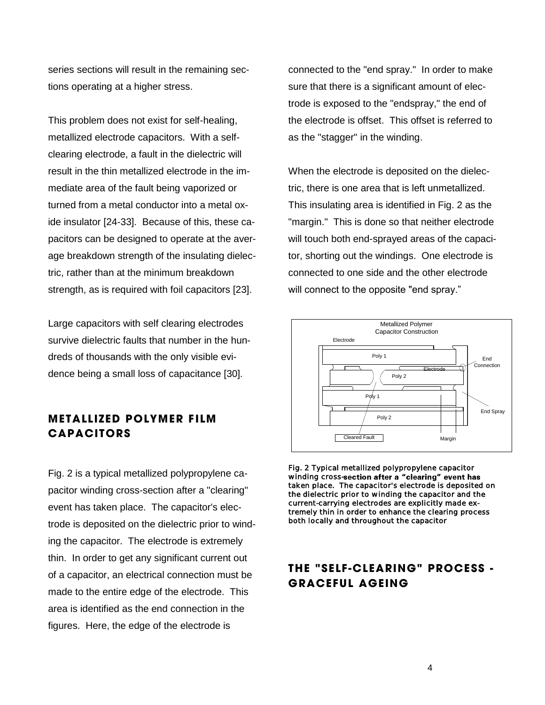series sections will result in the remaining sections operating at a higher stress.

This problem does not exist for self-healing, metallized electrode capacitors. With a selfclearing electrode, a fault in the dielectric will result in the thin metallized electrode in the immediate area of the fault being vaporized or turned from a metal conductor into a metal oxide insulator [24-33]. Because of this, these capacitors can be designed to operate at the average breakdown strength of the insulating dielectric, rather than at the minimum breakdown strength, as is required with foil capacitors [23].

Large capacitors with self clearing electrodes survive dielectric faults that number in the hundreds of thousands with the only visible evidence being a small loss of capacitance [30].

## **METALLIZED POLYMER F ILM CAPACITORS**

Fig. 2 is a typical metallized polypropylene capacitor winding cross-section after a "clearing" event has taken place. The capacitor's electrode is deposited on the dielectric prior to winding the capacitor. The electrode is extremely thin. In order to get any significant current out of a capacitor, an electrical connection must be made to the entire edge of the electrode. This area is identified as the end connection in the figures. Here, the edge of the electrode is

connected to the "end spray." In order to make sure that there is a significant amount of electrode is exposed to the "endspray," the end of the electrode is offset. This offset is referred to as the "stagger" in the winding.

When the electrode is deposited on the dielectric, there is one area that is left unmetallized. This insulating area is identified in Fig. 2 as the "margin." This is done so that neither electrode will touch both end-sprayed areas of the capacitor, shorting out the windings. One electrode is connected to one side and the other electrode will connect to the opposite "end spray."



Fig. 2 Typical metallized polypropylene capacitor winding cross-section after a "clearing" event has tak en place. The capacitor's electrode is deposited on the dielectric prior to winding the capacitor and the current-carrying electrodes are explicitly made extremely thin in order to enhance the clearing process both locally and throughout the capacitor

## **THE "SELF-CLEARING" PROCESS - GRACEFUL AGEING**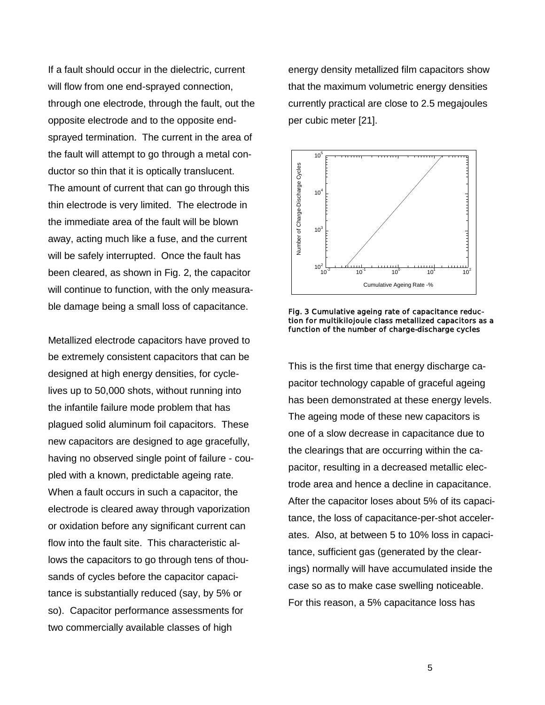If a fault should occur in the dielectric, current will flow from one end-sprayed connection, through one electrode, through the fault, out the opposite electrode and to the opposite endsprayed termination. The current in the area of the fault will attempt to go through a metal conductor so thin that it is optically translucent. The amount of current that can go through this thin electrode is very limited. The electrode in the immediate area of the fault will be blown away, acting much like a fuse, and the current will be safely interrupted. Once the fault has been cleared, as shown in Fig. 2, the capacitor will continue to function, with the only measurable damage being a small loss of capacitance.

Metallized electrode capacitors have proved to be extremely consistent capacitors that can be designed at high energy densities, for cyclelives up to 50,000 shots, without running into the infantile failure mode problem that has plagued solid aluminum foil capacitors. These new capacitors are designed to age gracefully, having no observed single point of failure - coupled with a known, predictable ageing rate. When a fault occurs in such a capacitor, the electrode is cleared away through vaporization or oxidation before any significant current can flow into the fault site. This characteristic allows the capacitors to go through tens of thousands of cycles before the capacitor capacitance is substantially reduced (say, by 5% or so). Capacitor performance assessments for two commercially available classes of high

energy density metallized film capacitors show that the maximum volumetric energy densities currently practical are close to 2.5 megajoules per cubic meter [21].



Fig. 3 Cumulative ageing rate of capacitance reduction for multik ilojoule class metallized capacitors as a function of the number of charge-discharge cycles

This is the first time that energy discharge capacitor technology capable of graceful ageing has been demonstrated at these energy levels. The ageing mode of these new capacitors is one of a slow decrease in capacitance due to the clearings that are occurring within the capacitor, resulting in a decreased metallic electrode area and hence a decline in capacitance. After the capacitor loses about 5% of its capacitance, the loss of capacitance-per-shot accelerates. Also, at between 5 to 10% loss in capacitance, sufficient gas (generated by the clearings) normally will have accumulated inside the case so as to make case swelling noticeable. For this reason, a 5% capacitance loss has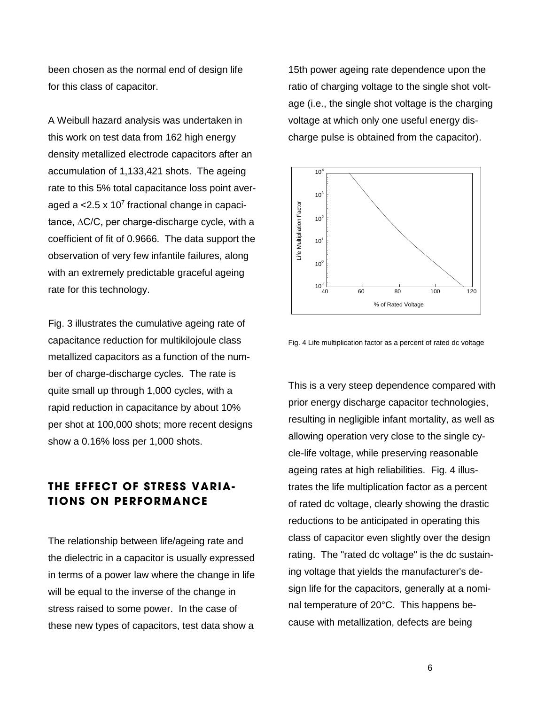been chosen as the normal end of design life for this class of capacitor.

A Weibull hazard analysis was undertaken in this work on test data from 162 high energy density metallized electrode capacitors after an accumulation of 1,133,421 shots. The ageing rate to this 5% total capacitance loss point averaged a <2.5 x 10<sup>7</sup> fractional change in capacitance, ∆C/C, per charge-discharge cycle, with a coefficient of fit of 0.9666. The data support the observation of very few infantile failures, along with an extremely predictable graceful ageing rate for this technology.

Fig. 3 illustrates the cumulative ageing rate of capacitance reduction for multikilojoule class metallized capacitors as a function of the number of charge-discharge cycles. The rate is quite small up through 1,000 cycles, with a rapid reduction in capacitance by about 10% per shot at 100,000 shots; more recent designs show a 0.16% loss per 1,000 shots.

## **THE EFFECT OF STRESS VARIA-TIONS ON PERFORMANCE**

The relationship between life/ageing rate and the dielectric in a capacitor is usually expressed in terms of a power law where the change in life will be equal to the inverse of the change in stress raised to some power. In the case of these new types of capacitors, test data show a

15th power ageing rate dependence upon the ratio of charging voltage to the single shot voltage (i.e., the single shot voltage is the charging voltage at which only one useful energy discharge pulse is obtained from the capacitor).



Fig. 4 Life multiplication factor as a percent of rated dc voltage

This is a very steep dependence compared with prior energy discharge capacitor technologies, resulting in negligible infant mortality, as well as allowing operation very close to the single cycle-life voltage, while preserving reasonable ageing rates at high reliabilities. Fig. 4 illustrates the life multiplication factor as a percent of rated dc voltage, clearly showing the drastic reductions to be anticipated in operating this class of capacitor even slightly over the design rating. The "rated dc voltage" is the dc sustaining voltage that yields the manufacturer's design life for the capacitors, generally at a nominal temperature of 20°C. This happens because with metallization, defects are being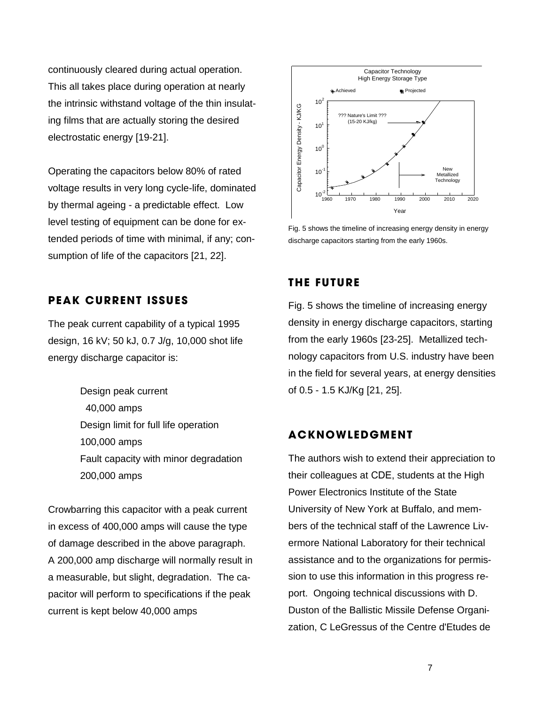continuously cleared during actual operation. This all takes place during operation at nearly the intrinsic withstand voltage of the thin insulating films that are actually storing the desired electrostatic energy [19-21].

Operating the capacitors below 80% of rated voltage results in very long cycle-life, dominated by thermal ageing - a predictable effect. Low level testing of equipment can be done for extended periods of time with minimal, if any; consumption of life of the capacitors [21, 22].

### **PEAK CURRENT ISSUES**

The peak current capability of a typical 1995 design, 16 kV; 50 kJ, 0.7 J/g, 10,000 shot life energy discharge capacitor is:

> Design peak current 40,000 amps Design limit for full life operation 100,000 amps Fault capacity with minor degradation 200,000 amps

Crowbarring this capacitor with a peak current in excess of 400,000 amps will cause the type of damage described in the above paragraph. A 200,000 amp discharge will normally result in a measurable, but slight, degradation. The capacitor will perform to specifications if the peak current is kept below 40,000 amps



Fig. 5 shows the timeline of increasing energy density in energy discharge capacitors starting from the early 1960s.

#### **THE FUTURE**

Fig. 5 shows the timeline of increasing energy density in energy discharge capacitors, starting from the early 1960s [23-25]. Metallized technology capacitors from U.S. industry have been in the field for several years, at energy densities of 0.5 - 1.5 KJ/Kg [21, 25].

#### **ACKNOWLEDGMENT**

The authors wish to extend their appreciation to their colleagues at CDE, students at the High Power Electronics Institute of the State University of New York at Buffalo, and members of the technical staff of the Lawrence Livermore National Laboratory for their technical assistance and to the organizations for permission to use this information in this progress report. Ongoing technical discussions with D. Duston of the Ballistic Missile Defense Organization, C LeGressus of the Centre d'Etudes de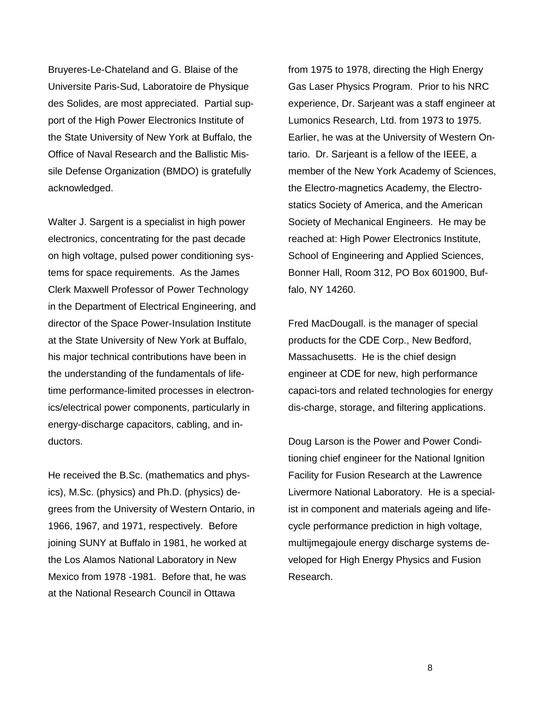Bruyeres-Le-Chateland and G. Blaise of the Universite Paris-Sud, Laboratoire de Physique des Solides, are most appreciated. Partial support of the High Power Electronics Institute of the State University of New York at Buffalo, the Office of Naval Research and the Ballistic Missile Defense Organization (BMDO) is gratefully acknowledged.

Walter J. Sargent is a specialist in high power electronics, concentrating for the past decade on high voltage, pulsed power conditioning systems for space requirements. As the James Clerk Maxwell Professor of Power Technology in the Department of Electrical Engineering, and director of the Space Power-Insulation Institute at the State University of New York at Buffalo, his major technical contributions have been in the understanding of the fundamentals of lifetime performance-limited processes in electronics/electrical power components, particularly in energy-discharge capacitors, cabling, and inductors.

He received the B.Sc. (mathematics and physics), M.Sc. (physics) and Ph.D. (physics) degrees from the University of Western Ontario, in 1966, 1967, and 1971, respectively. Before joining SUNY at Buffalo in 1981, he worked at the Los Alamos National Laboratory in New Mexico from 1978 -1981. Before that, he was at the National Research Council in Ottawa

from 1975 to 1978, directing the High Energy Gas Laser Physics Program. Prior to his NRC experience, Dr. Sarjeant was a staff engineer at Lumonics Research, Ltd. from 1973 to 1975. Earlier, he was at the University of Western Ontario. Dr. Sarjeant is a fellow of the IEEE, a member of the New York Academy of Sciences, the Electro-magnetics Academy, the Electrostatics Society of America, and the American Society of Mechanical Engineers. He may be reached at: High Power Electronics Institute, School of Engineering and Applied Sciences, Bonner Hall, Room 312, PO Box 601900, Buffalo, NY 14260.

Fred MacDougall. is the manager of special products for the CDE Corp., New Bedford, Massachusetts. He is the chief design engineer at CDE for new, high performance capaci-tors and related technologies for energy dis-charge, storage, and filtering applications.

Doug Larson is the Power and Power Conditioning chief engineer for the National Ignition Facility for Fusion Research at the Lawrence Livermore National Laboratory. He is a specialist in component and materials ageing and lifecycle performance prediction in high voltage, multijmegajoule energy discharge systems developed for High Energy Physics and Fusion Research.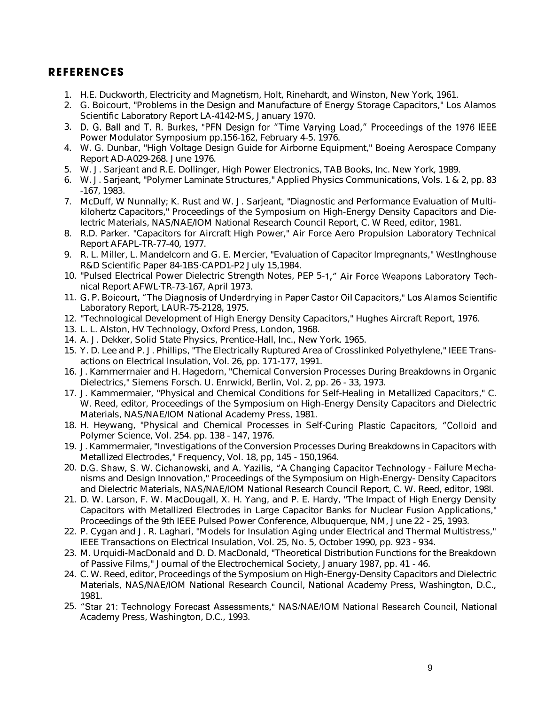## **REFERENCES**

- 1. H.E. Duckworth, Electricity and Magnetism, Holt, Rinehardt, and Winston, New York, 1961.
- 2. G. Boicourt, "Problems in the Design and Manufacture of Energy Storage Capacitors," Los Alamos Scientific Laboratory Report LA-4142-MS, January 1970.
- 3. D. G. Ball and T. R. Burkes, "PFN Design for "Time Varying Load," Proceedings of the 1976 IEEE Power Modulator Symposium pp.156-162, February 4-5. 1976.
- 4. W. G. Dunbar, "High Voltage Design Guide for Airborne Equipment," Boeing Aerospace Company Report AD-A029-268. June 1976.
- 5. W. J. Sarjeant and R.E. Dollinger, High Power Electronics, TAB Books, Inc. New York, 1989.
- 6. W. J. Sarjeant, "Polymer Laminate Structures," Applied Physics Communications, Vols. 1 & 2, pp. 83 -167, 1983.
- 7. McDuff, W Nunnally; K. Rust and W. J. Sarjeant, "Diagnostic and Performance Evaluation of Multikilohertz Capacitors," Proceedings of the Symposium on High-Energy Density Capacitors and Dielectric Materials, NAS/NAE/IOM National Research Council Report, C. W Reed, editor, 1981.
- 8. R.D. Parker. "Capacitors for Aircraft High Power," Air Force Aero Propulsion Laboratory Technical Report AFAPL-TR-77-40, 1977.
- 9. R. L. Miller, L. Mandelcorn and G. E. Mercier, "Evaluation of Capacitor lmpregnants," Westlnghouse R&D Scientific Paper 84-1BS·CAPD1-P2 July 15,1984.
- 10. "Pulsed Electrical Power Dielectric Strength Notes, PEP 5-1," Air Force Weapons Laboratory Technical Report AFWL·TR-73-167, April 1973.
- 11. G. P. Boicourt, "The Diagnosis of Underdrying in Paper Castor Oil Capacitors," Los Alamos Scientific Laboratory Report, LAUR-75-2128, 1975.
- 12. "Technological Development of High Energy Density Capacitors," Hughes Aircraft Report, 1976.
- 13. L. L. Alston, HV Technology, Oxford Press, London, 1968.
- 14. A. J. Dekker, Solid State Physics, Prentice-Hall, Inc., New York. 1965.
- 15. Y. D. Lee and P. J. Phillips, "The Electrically Ruptured Area of Crosslinked Polyethylene," IEEE Transactions on Electrical lnsulation, Vol. 26, pp. 171-177, 1991.
- 16. J. Kamrnerrnaier and H. Hagedorn, "Chemical Conversion Processes During Breakdowns in Organic Dielectrics," Siemens Forsch. U. Enrwickl, Berlin, Vol. 2, pp. 26 - 33, 1973.
- 17. J. Kammermaier, "Physical and Chemical Conditions for Self-Healing in Metallized Capacitors," C. W. Reed, editor, Proceedings of the Symposium on High-Energy Density Capacitors and Dielectric Materials, NAS/NAE/IOM National Academy Press, 1981.
- 18. H. Heywang, "Physical and Chemical Processes in Self-Curing Plastic Capacitors, "Colloid and PoIymer Science, Vol. 254. pp. 138 - 147, 1976.
- 19. J. Kammermaier, "Investigations of the Conversion Processes During Breakdowns in Capacitors with Metallized Electrodes," Frequency, Vol. 18, pp, 145 - 150,1964.
- 20. D.G. Shaw, S. W. Cichanowski, and A. Yazilis, "A Changing Capacitor Technology Failure Mechanisms and Design Innovation," Proceedings of the Symposium on High-Energy- Density Capacitors and Dielectric Materials, NAS/NAE/IOM National Research Council Report, C. W. Reed, editor, 198I.
- 21. D. W. Larson, F. W. MacDougall, X. H. Yang, and P. E. Hardy, "The Impact of High Energy Density Capacitors with Metallized Electrodes in Large Capacitor Banks for Nuclear Fusion Applications," Proceedings of the 9th IEEE Pulsed Power Conference, Albuquerque, NM, June 22 - 25, 1993.
- 22. P. Cygan and J. R. Laghari, "Models for Insulation Aging under EIectrical and Thermal Multistress," IEEE Transactions on Electrical Insulation, Vol. 25, No. 5, October 1990, pp. 923 - 934.
- 23. M. Urquidi-MacDonald and D. D. MacDonald, "Theoretical Distribution Functions for the Breakdown of Passive Films," Journal of the Electrochemical Society, January 1987, pp. 41 - 46.
- 24. C. W. Reed, editor, Proceedings of the Symposium on High-Energy-Density Capacitors and Dielectric Materials, NAS/NAE/IOM National Research Council, National Academy Press, Washington, D.C., 1981.
- 25. "Star 21: Technology Forecast Assessments," NAS/NAE/IOM National Research Council, National Academy Press, Washington, D.C., 1993.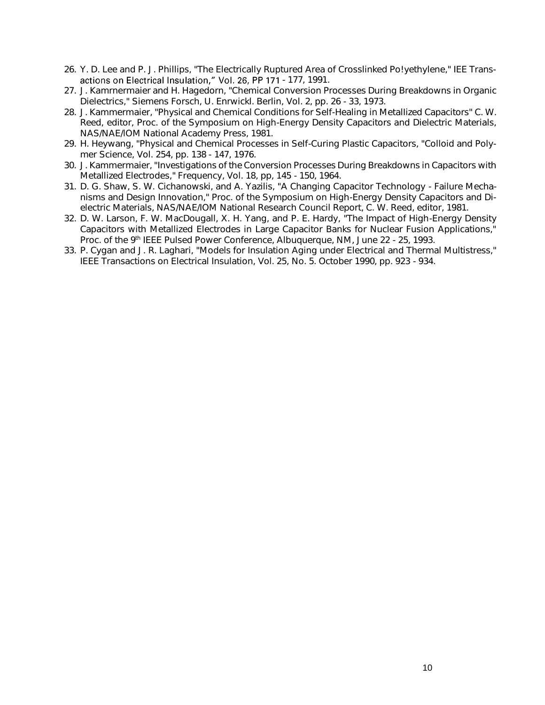- 26. Y. D. Lee and P. J. Phillips, "The Electrically Ruptured Area of Crosslinked Po!yethylene," IEE Trans actions on Electrical Insulation," Vol. 26, PP 171 - 177, 1991.
- 27. J. Kamrnermaier and H. Hagedorn, "Chemical Conversion Processes During Breakdowns in Organic Dielectrics," Siemens Forsch, U. Enrwickl. Berlin, Vol. 2, pp. 26 - 33, 1973.
- 28. J. Kammermaier, "Physical and Chemical Conditions for Self-Healing in MetalIized Capacitors" C. W. Reed, editor, Proc. of the Symposium on High-Energy Density Capacitors and Dielectric Materials, NAS/NAE/lOM National Academy Press, 1981.
- 29. H. Heywang, "Physical and Chemical Processes in Self-Curing Plastic Capacitors, "Colloid and Polymer Science, Vol. 254, pp. 138 - 147, 1976.
- 30. J. Kammermaier, "Investigations of the Conversion Processes During Breakdowns in Capacitors with Metallized Electrodes," Frequency, Vol. 18, pp, 145 - 150, 1964.
- 31. D. G. Shaw, S. W. Cichanowski, and A. Yazilis, "A Changing Capacitor Technology Failure Mechanisms and Design Innovation," Proc. of the Symposium on High-Energy Density Capacitors and Dielectric Materials, NAS/NAE/IOM National Research Council Report, C. W. Reed, editor, 1981.
- 32. D. W. Larson, F. W. MacDougall, X. H. Yang, and P. E. Hardy, "The Impact of High-Energy Density Capacitors with Metallized Electrodes in Large Capacitor Banks for Nuclear Fusion Applications," Proc. of the 9th IEEE Pulsed Power Conference, Albuquerque, NM, June 22 - 25, 1993.
- 33. P. Cygan and J. R. Laghari, "Models for Insulation Aging under Electrical and Thermal Multistress," IEEE Transactions on Electrical Insulation, Vol. 25, No. 5. October 1990, pp. 923 - 934.